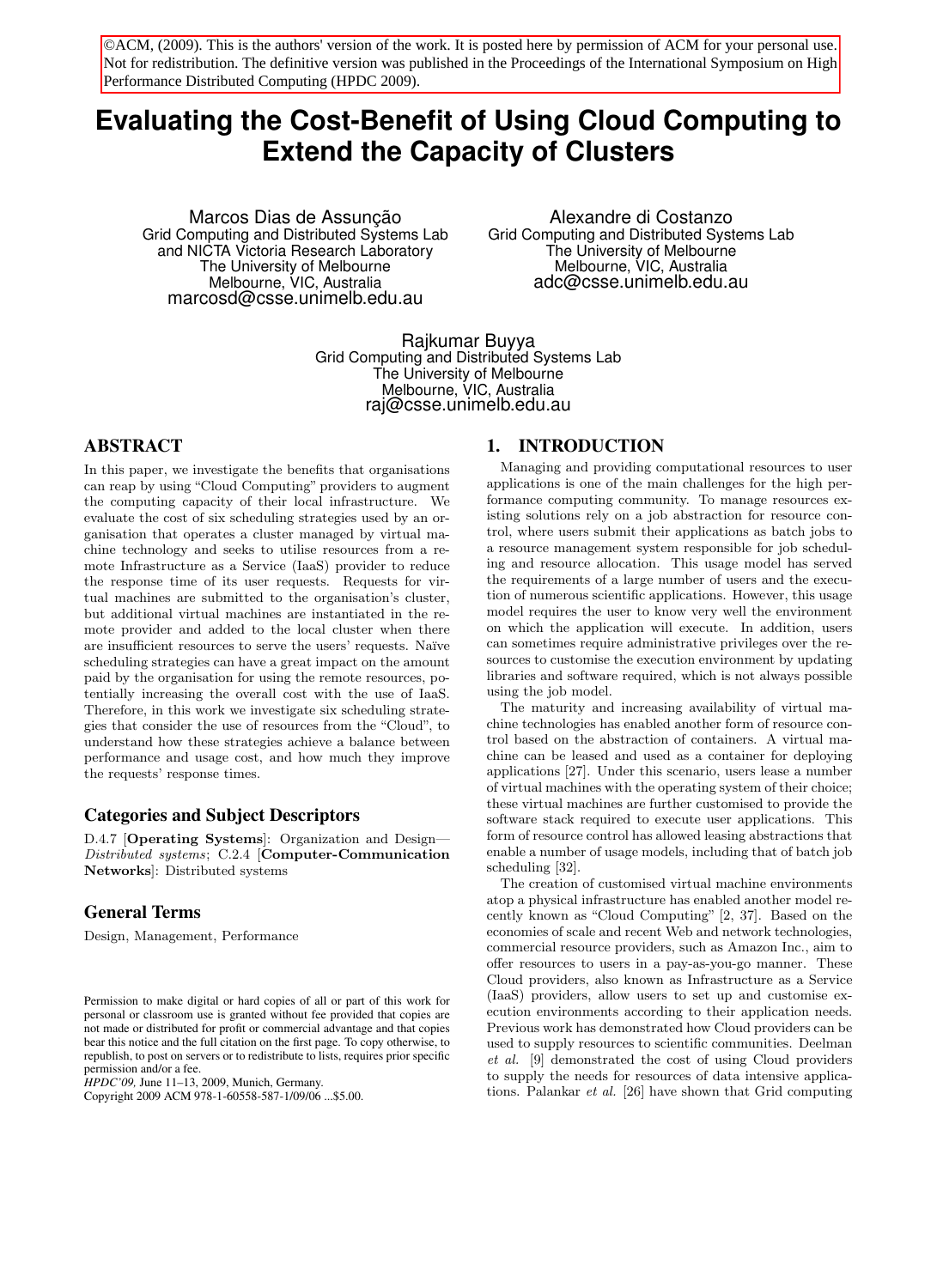©ACM, (2009). This is the authors' version of the work. It is posted here by permission of ACM for your personal use. Not for redistribution. The definitive version was published in the Proceedings of the International Symposium on High Performance Distributed Computing (HPDC 2009).

# **Evaluating the Cost-Benefit of Using Cloud Computing to Extend the Capacity of Clusters**

Marcos Dias de Assunção Grid Computing and Distributed Systems Lab and NICTA Victoria Research Laboratory The University of Melbourne Melbourne, VIC, Australia marcosd@csse.unimelb.edu.au

Alexandre di Costanzo Grid Computing and Distributed Systems Lab The University of Melbourne Melbourne, VIC, Australia adc@csse.unimelb.edu.au

Rajkumar Buyya Grid Computing and Distributed Systems Lab The University of Melbourne Melbourne, VIC, Australia raj@csse.unimelb.edu.au

# ABSTRACT

In this paper, we investigate the benefits that organisations can reap by using "Cloud Computing" providers to augment the computing capacity of their local infrastructure. We evaluate the cost of six scheduling strategies used by an organisation that operates a cluster managed by virtual machine technology and seeks to utilise resources from a remote Infrastructure as a Service (IaaS) provider to reduce the response time of its user requests. Requests for virtual machines are submitted to the organisation's cluster, but additional virtual machines are instantiated in the remote provider and added to the local cluster when there are insufficient resources to serve the users' requests. Naïve scheduling strategies can have a great impact on the amount paid by the organisation for using the remote resources, potentially increasing the overall cost with the use of IaaS. Therefore, in this work we investigate six scheduling strategies that consider the use of resources from the "Cloud", to understand how these strategies achieve a balance between performance and usage cost, and how much they improve the requests' response times.

## Categories and Subject Descriptors

D.4.7 [Operating Systems]: Organization and Design— Distributed systems; C.2.4 [Computer-Communication Networks]: Distributed systems

# General Terms

Design, Management, Performance

*HPDC'09,* June 11–13, 2009, Munich, Germany.

Copyright 2009 ACM 978-1-60558-587-1/09/06 ...\$5.00.

## 1. INTRODUCTION

Managing and providing computational resources to user applications is one of the main challenges for the high performance computing community. To manage resources existing solutions rely on a job abstraction for resource control, where users submit their applications as batch jobs to a resource management system responsible for job scheduling and resource allocation. This usage model has served the requirements of a large number of users and the execution of numerous scientific applications. However, this usage model requires the user to know very well the environment on which the application will execute. In addition, users can sometimes require administrative privileges over the resources to customise the execution environment by updating libraries and software required, which is not always possible using the job model.

The maturity and increasing availability of virtual machine technologies has enabled another form of resource control based on the abstraction of containers. A virtual machine can be leased and used as a container for deploying applications [27]. Under this scenario, users lease a number of virtual machines with the operating system of their choice; these virtual machines are further customised to provide the software stack required to execute user applications. This form of resource control has allowed leasing abstractions that enable a number of usage models, including that of batch job scheduling [32].

The creation of customised virtual machine environments atop a physical infrastructure has enabled another model recently known as "Cloud Computing" [2, 37]. Based on the economies of scale and recent Web and network technologies, commercial resource providers, such as Amazon Inc., aim to offer resources to users in a pay-as-you-go manner. These Cloud providers, also known as Infrastructure as a Service (IaaS) providers, allow users to set up and customise execution environments according to their application needs. Previous work has demonstrated how Cloud providers can be used to supply resources to scientific communities. Deelman et al. [9] demonstrated the cost of using Cloud providers to supply the needs for resources of data intensive applications. Palankar et al. [26] have shown that Grid computing

Permission to make digital or hard copies of all or part of this work for personal or classroom use is granted without fee provided that copies are not made or distributed for profit or commercial advantage and that copies bear this notice and the full citation on the first page. To copy otherwise, to republish, to post on servers or to redistribute to lists, requires prior specific permission and/or a fee.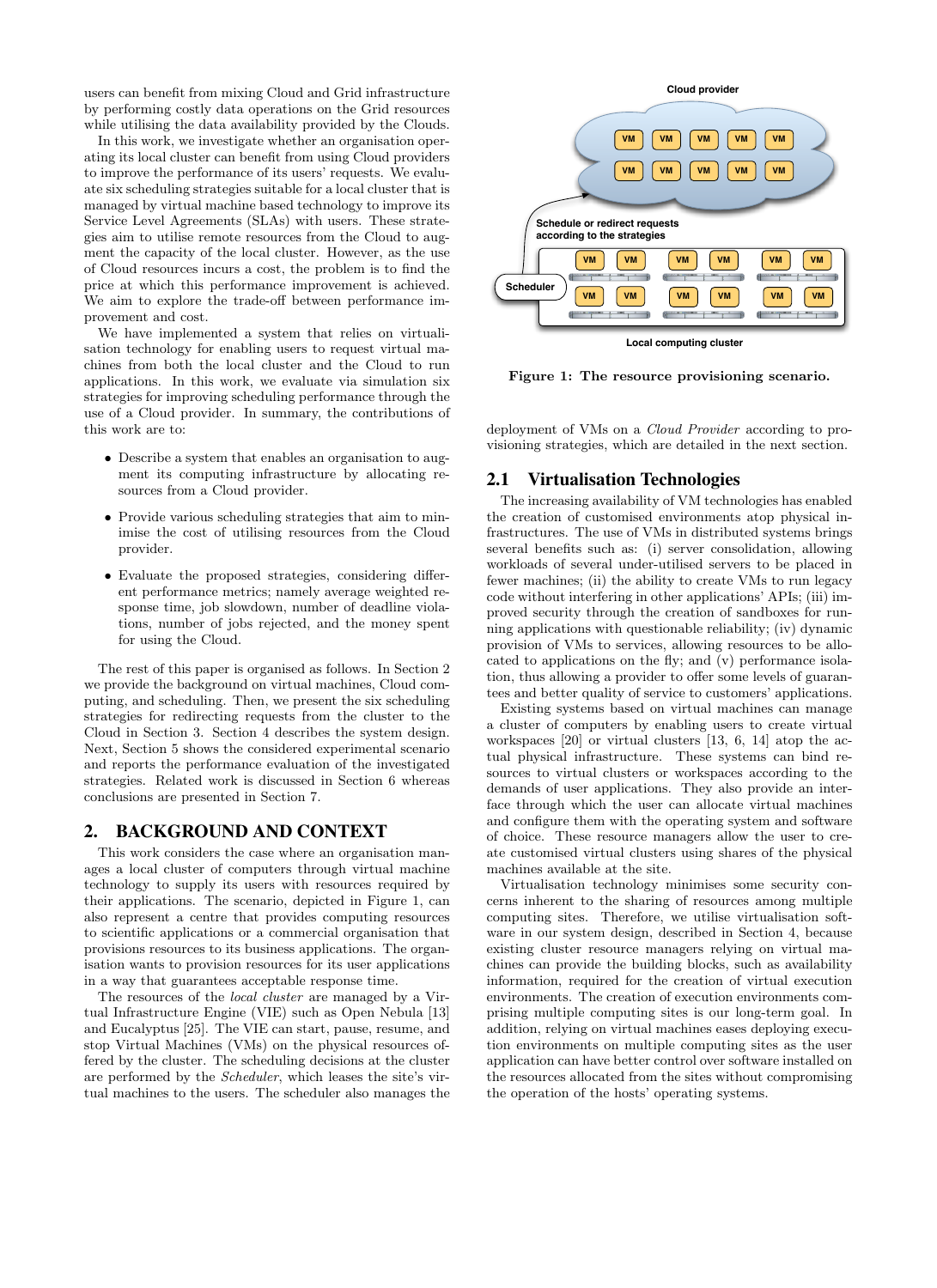users can benefit from mixing Cloud and Grid infrastructure by performing costly data operations on the Grid resources while utilising the data availability provided by the Clouds.

In this work, we investigate whether an organisation operating its local cluster can benefit from using Cloud providers to improve the performance of its users' requests. We evaluate six scheduling strategies suitable for a local cluster that is managed by virtual machine based technology to improve its Service Level Agreements (SLAs) with users. These strategies aim to utilise remote resources from the Cloud to augment the capacity of the local cluster. However, as the use of Cloud resources incurs a cost, the problem is to find the price at which this performance improvement is achieved. We aim to explore the trade-off between performance improvement and cost.

We have implemented a system that relies on virtualisation technology for enabling users to request virtual machines from both the local cluster and the Cloud to run applications. In this work, we evaluate via simulation six strategies for improving scheduling performance through the use of a Cloud provider. In summary, the contributions of this work are to:

- Describe a system that enables an organisation to augment its computing infrastructure by allocating resources from a Cloud provider.
- Provide various scheduling strategies that aim to minimise the cost of utilising resources from the Cloud provider.
- Evaluate the proposed strategies, considering different performance metrics; namely average weighted response time, job slowdown, number of deadline violations, number of jobs rejected, and the money spent for using the Cloud.

The rest of this paper is organised as follows. In Section 2 we provide the background on virtual machines, Cloud computing, and scheduling. Then, we present the six scheduling strategies for redirecting requests from the cluster to the Cloud in Section 3. Section 4 describes the system design. Next, Section 5 shows the considered experimental scenario and reports the performance evaluation of the investigated strategies. Related work is discussed in Section 6 whereas conclusions are presented in Section 7.

# 2. BACKGROUND AND CONTEXT

This work considers the case where an organisation manages a local cluster of computers through virtual machine technology to supply its users with resources required by their applications. The scenario, depicted in Figure 1, can also represent a centre that provides computing resources to scientific applications or a commercial organisation that provisions resources to its business applications. The organisation wants to provision resources for its user applications in a way that guarantees acceptable response time.

The resources of the *local cluster* are managed by a Virtual Infrastructure Engine (VIE) such as Open Nebula [13] and Eucalyptus [25]. The VIE can start, pause, resume, and stop Virtual Machines (VMs) on the physical resources offered by the cluster. The scheduling decisions at the cluster are performed by the Scheduler, which leases the site's virtual machines to the users. The scheduler also manages the



**Local computing cluster**

Figure 1: The resource provisioning scenario.

deployment of VMs on a Cloud Provider according to provisioning strategies, which are detailed in the next section.

## 2.1 Virtualisation Technologies

The increasing availability of VM technologies has enabled the creation of customised environments atop physical infrastructures. The use of VMs in distributed systems brings several benefits such as: (i) server consolidation, allowing workloads of several under-utilised servers to be placed in fewer machines; (ii) the ability to create VMs to run legacy code without interfering in other applications' APIs; (iii) improved security through the creation of sandboxes for running applications with questionable reliability; (iv) dynamic provision of VMs to services, allowing resources to be allocated to applications on the fly; and (v) performance isolation, thus allowing a provider to offer some levels of guarantees and better quality of service to customers' applications.

Existing systems based on virtual machines can manage a cluster of computers by enabling users to create virtual workspaces [20] or virtual clusters [13, 6, 14] atop the actual physical infrastructure. These systems can bind resources to virtual clusters or workspaces according to the demands of user applications. They also provide an interface through which the user can allocate virtual machines and configure them with the operating system and software of choice. These resource managers allow the user to create customised virtual clusters using shares of the physical machines available at the site.

Virtualisation technology minimises some security concerns inherent to the sharing of resources among multiple computing sites. Therefore, we utilise virtualisation software in our system design, described in Section 4, because existing cluster resource managers relying on virtual machines can provide the building blocks, such as availability information, required for the creation of virtual execution environments. The creation of execution environments comprising multiple computing sites is our long-term goal. In addition, relying on virtual machines eases deploying execution environments on multiple computing sites as the user application can have better control over software installed on the resources allocated from the sites without compromising the operation of the hosts' operating systems.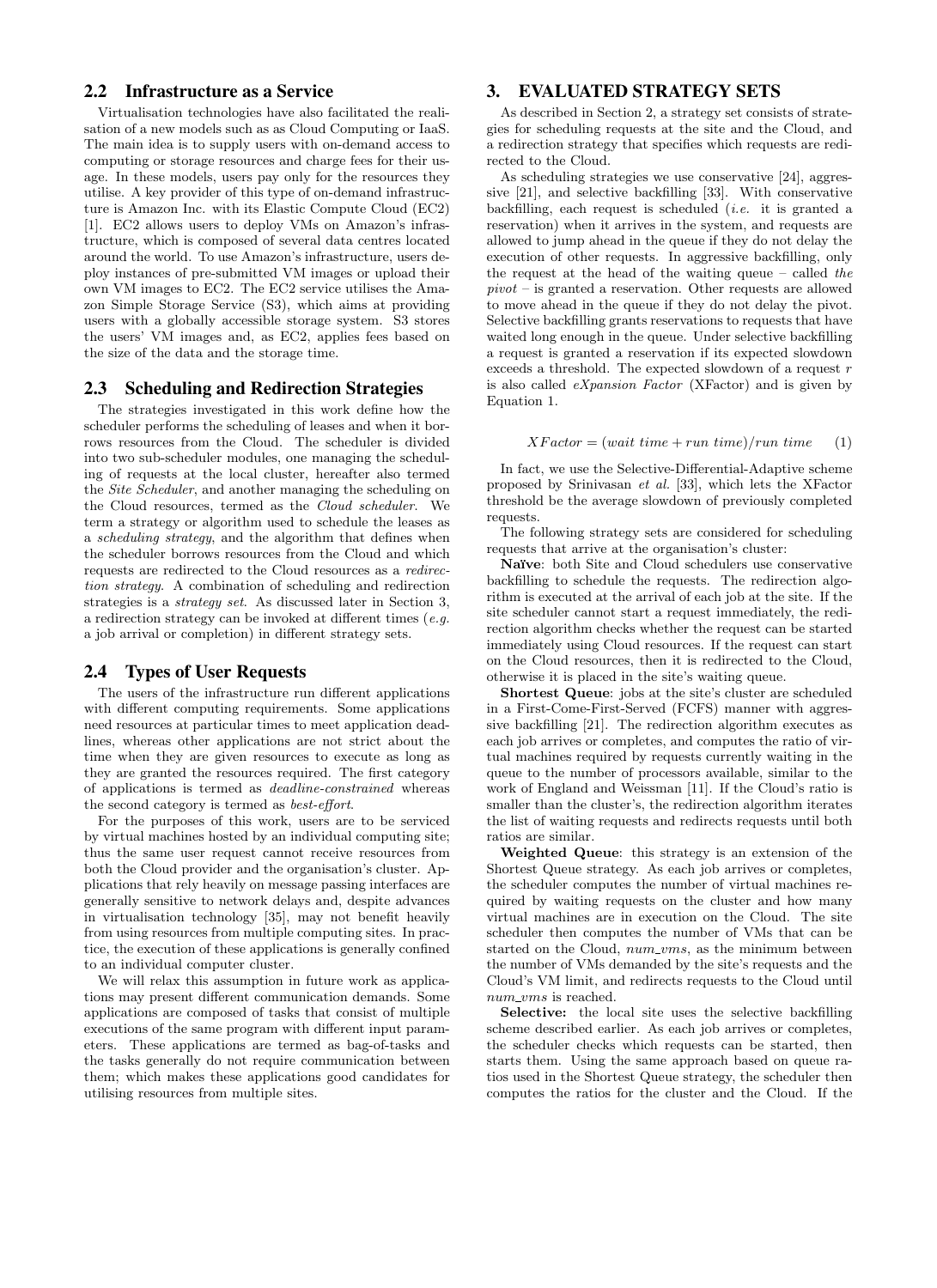## 2.2 Infrastructure as a Service

Virtualisation technologies have also facilitated the realisation of a new models such as as Cloud Computing or IaaS. The main idea is to supply users with on-demand access to computing or storage resources and charge fees for their usage. In these models, users pay only for the resources they utilise. A key provider of this type of on-demand infrastructure is Amazon Inc. with its Elastic Compute Cloud (EC2) [1]. EC2 allows users to deploy VMs on Amazon's infrastructure, which is composed of several data centres located around the world. To use Amazon's infrastructure, users deploy instances of pre-submitted VM images or upload their own VM images to EC2. The EC2 service utilises the Amazon Simple Storage Service (S3), which aims at providing users with a globally accessible storage system. S3 stores the users' VM images and, as EC2, applies fees based on the size of the data and the storage time.

#### 2.3 Scheduling and Redirection Strategies

The strategies investigated in this work define how the scheduler performs the scheduling of leases and when it borrows resources from the Cloud. The scheduler is divided into two sub-scheduler modules, one managing the scheduling of requests at the local cluster, hereafter also termed the Site Scheduler, and another managing the scheduling on the Cloud resources, termed as the Cloud scheduler. We term a strategy or algorithm used to schedule the leases as a scheduling strategy, and the algorithm that defines when the scheduler borrows resources from the Cloud and which requests are redirected to the Cloud resources as a redirection strategy. A combination of scheduling and redirection strategies is a strategy set. As discussed later in Section 3, a redirection strategy can be invoked at different times (e.g. a job arrival or completion) in different strategy sets.

## 2.4 Types of User Requests

The users of the infrastructure run different applications with different computing requirements. Some applications need resources at particular times to meet application deadlines, whereas other applications are not strict about the time when they are given resources to execute as long as they are granted the resources required. The first category of applications is termed as deadline-constrained whereas the second category is termed as best-effort.

For the purposes of this work, users are to be serviced by virtual machines hosted by an individual computing site; thus the same user request cannot receive resources from both the Cloud provider and the organisation's cluster. Applications that rely heavily on message passing interfaces are generally sensitive to network delays and, despite advances in virtualisation technology [35], may not benefit heavily from using resources from multiple computing sites. In practice, the execution of these applications is generally confined to an individual computer cluster.

We will relax this assumption in future work as applications may present different communication demands. Some applications are composed of tasks that consist of multiple executions of the same program with different input parameters. These applications are termed as bag-of-tasks and the tasks generally do not require communication between them; which makes these applications good candidates for utilising resources from multiple sites.

## 3. EVALUATED STRATEGY SETS

As described in Section 2, a strategy set consists of strategies for scheduling requests at the site and the Cloud, and a redirection strategy that specifies which requests are redirected to the Cloud.

As scheduling strategies we use conservative [24], aggressive [21], and selective backfilling [33]. With conservative backfilling, each request is scheduled  $(i.e.$  it is granted a reservation) when it arrives in the system, and requests are allowed to jump ahead in the queue if they do not delay the execution of other requests. In aggressive backfilling, only the request at the head of the waiting queue – called the  $pivot -$  is granted a reservation. Other requests are allowed to move ahead in the queue if they do not delay the pivot. Selective backfilling grants reservations to requests that have waited long enough in the queue. Under selective backfilling a request is granted a reservation if its expected slowdown exceeds a threshold. The expected slowdown of a request  $r$ is also called eXpansion Factor (XFactor) and is given by Equation 1.

#### $XFactor = (wait time + run time)/run time$  (1)

In fact, we use the Selective-Differential-Adaptive scheme proposed by Srinivasan et al. [33], which lets the XFactor threshold be the average slowdown of previously completed requests

The following strategy sets are considered for scheduling requests that arrive at the organisation's cluster:

Naïve: both Site and Cloud schedulers use conservative backfilling to schedule the requests. The redirection algorithm is executed at the arrival of each job at the site. If the site scheduler cannot start a request immediately, the redirection algorithm checks whether the request can be started immediately using Cloud resources. If the request can start on the Cloud resources, then it is redirected to the Cloud, otherwise it is placed in the site's waiting queue.

Shortest Queue: jobs at the site's cluster are scheduled in a First-Come-First-Served (FCFS) manner with aggressive backfilling [21]. The redirection algorithm executes as each job arrives or completes, and computes the ratio of virtual machines required by requests currently waiting in the queue to the number of processors available, similar to the work of England and Weissman [11]. If the Cloud's ratio is smaller than the cluster's, the redirection algorithm iterates the list of waiting requests and redirects requests until both ratios are similar.

Weighted Queue: this strategy is an extension of the Shortest Queue strategy. As each job arrives or completes, the scheduler computes the number of virtual machines required by waiting requests on the cluster and how many virtual machines are in execution on the Cloud. The site scheduler then computes the number of VMs that can be started on the Cloud,  $num\_vms$ , as the minimum between the number of VMs demanded by the site's requests and the Cloud's VM limit, and redirects requests to the Cloud until  $num\_vms$  is reached.

Selective: the local site uses the selective backfilling scheme described earlier. As each job arrives or completes, the scheduler checks which requests can be started, then starts them. Using the same approach based on queue ratios used in the Shortest Queue strategy, the scheduler then computes the ratios for the cluster and the Cloud. If the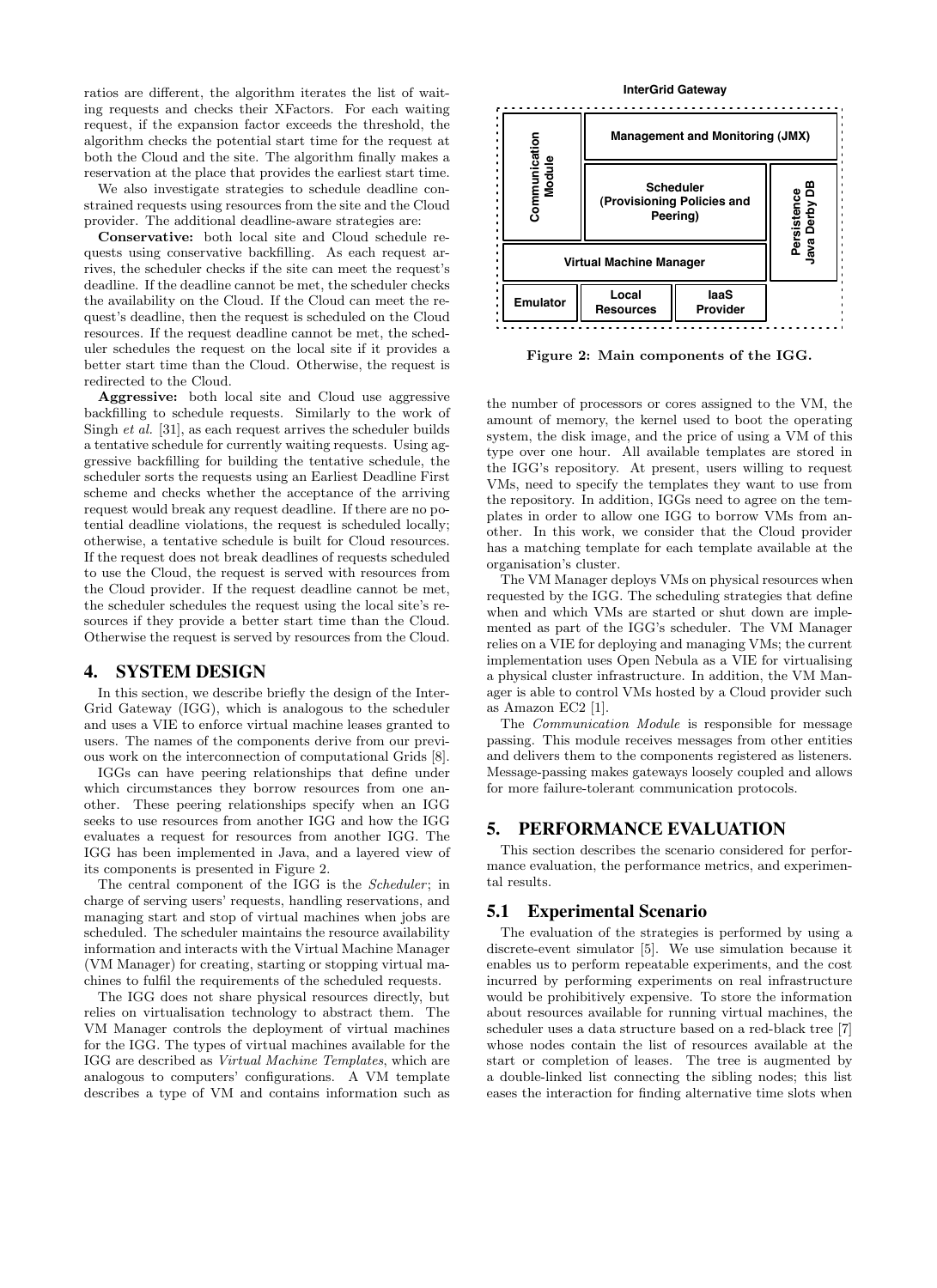ratios are different, the algorithm iterates the list of waiting requests and checks their XFactors. For each waiting request, if the expansion factor exceeds the threshold, the algorithm checks the potential start time for the request at both the Cloud and the site. The algorithm finally makes a reservation at the place that provides the earliest start time.

We also investigate strategies to schedule deadline constrained requests using resources from the site and the Cloud provider. The additional deadline-aware strategies are:

Conservative: both local site and Cloud schedule requests using conservative backfilling. As each request arrives, the scheduler checks if the site can meet the request's deadline. If the deadline cannot be met, the scheduler checks the availability on the Cloud. If the Cloud can meet the request's deadline, then the request is scheduled on the Cloud resources. If the request deadline cannot be met, the scheduler schedules the request on the local site if it provides a better start time than the Cloud. Otherwise, the request is redirected to the Cloud.

Aggressive: both local site and Cloud use aggressive backfilling to schedule requests. Similarly to the work of Singh et al. [31], as each request arrives the scheduler builds a tentative schedule for currently waiting requests. Using aggressive backfilling for building the tentative schedule, the scheduler sorts the requests using an Earliest Deadline First scheme and checks whether the acceptance of the arriving request would break any request deadline. If there are no potential deadline violations, the request is scheduled locally; otherwise, a tentative schedule is built for Cloud resources. If the request does not break deadlines of requests scheduled to use the Cloud, the request is served with resources from the Cloud provider. If the request deadline cannot be met, the scheduler schedules the request using the local site's resources if they provide a better start time than the Cloud. Otherwise the request is served by resources from the Cloud. absorbine developed the particles the contained such as the module of the request of the contained the contained and the place of the place of Module and the place of WM and contained a type of VM and contained a communic

# 4. SYSTEM DESIGN

In this section, we describe briefly the design of the Inter-Grid Gateway (IGG), which is analogous to the scheduler and uses a VIE to enforce virtual machine leases granted to users. The names of the components derive from our previous work on the interconnection of computational Grids [8].

IGGs can have peering relationships that define under which circumstances they borrow resources from one another. These peering relationships specify when an IGG seeks to use resources from another IGG and how the IGG evaluates a request for resources from another IGG. The IGG has been implemented in Java, and a layered view of its components is presented in Figure 2.

The central component of the IGG is the *Scheduler*; in charge of serving users' requests, handling reservations, and managing start and stop of virtual machines when jobs are scheduled. The scheduler maintains the resource availability information and interacts with the Virtual Machine Manager (VM Manager) for creating, starting or stopping virtual machines to fulfil the requirements of the scheduled requests.

The IGG does not share physical resources directly, but relies on virtualisation technology to abstract them. The VM Manager controls the deployment of virtual machines for the IGG. The types of virtual machines available for the IGG are described as Virtual Machine Templates, which are analogous to computers' configurations. A VM template



Figure 2: Main components of the IGG.

the number of processors or cores assigned to the VM, the amount of memory, the kernel used to boot the operating system, the disk image, and the price of using a VM of this type over one hour. All available templates are stored in the IGG's repository. At present, users willing to request VMs, need to specify the templates they want to use from the repository. In addition, IGGs need to agree on the templates in order to allow one IGG to borrow VMs from another. In this work, we consider that the Cloud provider has a matching template for each template available at the organisation's cluster.

The VM Manager deploys VMs on physical resources when requested by the IGG. The scheduling strategies that define when and which VMs are started or shut down are implemented as part of the IGG's scheduler. The VM Manager relies on a VIE for deploying and managing VMs; the current implementation uses Open Nebula as a VIE for virtualising a physical cluster infrastructure. In addition, the VM Manager is able to control VMs hosted by a Cloud provider such as Amazon EC2 [1].

The Communication Module is responsible for message passing. This module receives messages from other entities and delivers them to the components registered as listeners. Message-passing makes gateways loosely coupled and allows for more failure-tolerant communication protocols.

## 5. PERFORMANCE EVALUATION

This section describes the scenario considered for performance evaluation, the performance metrics, and experimental results.

#### 5.1 Experimental Scenario

The evaluation of the strategies is performed by using a discrete-event simulator [5]. We use simulation because it enables us to perform repeatable experiments, and the cost incurred by performing experiments on real infrastructure would be prohibitively expensive. To store the information about resources available for running virtual machines, the scheduler uses a data structure based on a red-black tree [7] whose nodes contain the list of resources available at the start or completion of leases. The tree is augmented by a double-linked list connecting the sibling nodes; this list eases the interaction for finding alternative time slots when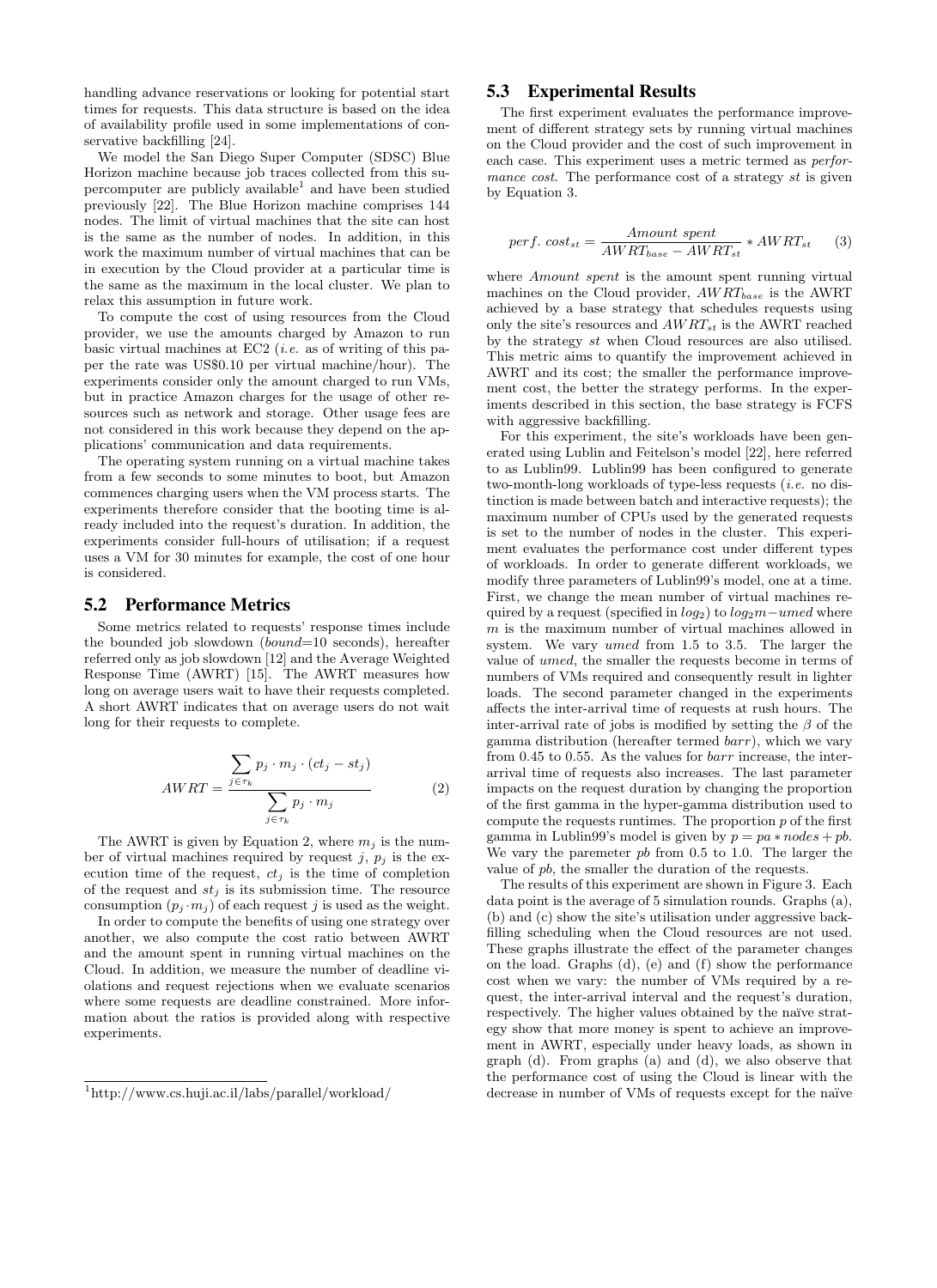handling advance reservations or looking for potential start times for requests. This data structure is based on the idea of availability profile used in some implementations of conservative backfilling [24].

We model the San Diego Super Computer (SDSC) Blue Horizon machine because job traces collected from this supercomputer are publicly available<sup>1</sup> and have been studied previously [22]. The Blue Horizon machine comprises 144 nodes. The limit of virtual machines that the site can host is the same as the number of nodes. In addition, in this work the maximum number of virtual machines that can be in execution by the Cloud provider at a particular time is the same as the maximum in the local cluster. We plan to relax this assumption in future work.

To compute the cost of using resources from the Cloud provider, we use the amounts charged by Amazon to run basic virtual machines at  $EC2$  (*i.e.* as of writing of this paper the rate was US\$0.10 per virtual machine/hour). The experiments consider only the amount charged to run VMs, but in practice Amazon charges for the usage of other resources such as network and storage. Other usage fees are not considered in this work because they depend on the applications' communication and data requirements.

The operating system running on a virtual machine takes from a few seconds to some minutes to boot, but Amazon commences charging users when the VM process starts. The experiments therefore consider that the booting time is already included into the request's duration. In addition, the experiments consider full-hours of utilisation; if a request uses a VM for 30 minutes for example, the cost of one hour is considered.

#### 5.2 Performance Metrics

Some metrics related to requests' response times include the bounded job slowdown (bound=10 seconds), hereafter referred only as job slowdown [12] and the Average Weighted Response Time (AWRT) [15]. The AWRT measures how long on average users wait to have their requests completed. A short AWRT indicates that on average users do not wait long for their requests to complete.

$$
AWRT = \frac{\sum_{j \in \tau_k} p_j \cdot m_j \cdot (ct_j - st_j)}{\sum_{j \in \tau_k} p_j \cdot m_j}
$$
 (2)

The AWRT is given by Equation 2, where  $m_j$  is the number of virtual machines required by request j,  $p_j$  is the execution time of the request,  $ct_j$  is the time of completion of the request and  $st_j$  is its submission time. The resource consumption  $(p_i \cdot m_j)$  of each request j is used as the weight.

In order to compute the benefits of using one strategy over another, we also compute the cost ratio between AWRT and the amount spent in running virtual machines on the Cloud. In addition, we measure the number of deadline violations and request rejections when we evaluate scenarios where some requests are deadline constrained. More information about the ratios is provided along with respective experiments.

## 5.3 Experimental Results

The first experiment evaluates the performance improvement of different strategy sets by running virtual machines on the Cloud provider and the cost of such improvement in each case. This experiment uses a metric termed as performance cost. The performance cost of a strategy st is given by Equation 3.

$$
perf. \ cost_{st} = \frac{Amount \ spent}{AWRT_{base} - AWRT_{st}} * AWRT_{st} \tag{3}
$$

where *Amount spent* is the amount spent running virtual machines on the Cloud provider,  $AWRT_{base}$  is the AWRT achieved by a base strategy that schedules requests using only the site's resources and  $AWRT_{st}$  is the AWRT reached by the strategy st when Cloud resources are also utilised. This metric aims to quantify the improvement achieved in AWRT and its cost; the smaller the performance improvement cost, the better the strategy performs. In the experiments described in this section, the base strategy is FCFS with aggressive backfilling.

For this experiment, the site's workloads have been generated using Lublin and Feitelson's model [22], here referred to as Lublin99. Lublin99 has been configured to generate two-month-long workloads of type-less requests (*i.e.* no distinction is made between batch and interactive requests); the maximum number of CPUs used by the generated requests is set to the number of nodes in the cluster. This experiment evaluates the performance cost under different types of workloads. In order to generate different workloads, we modify three parameters of Lublin99's model, one at a time. First, we change the mean number of virtual machines required by a request (specified in  $log_2$ ) to  $log_2m$ −umed where  $m$  is the maximum number of virtual machines allowed in system. We vary umed from 1.5 to 3.5. The larger the value of umed, the smaller the requests become in terms of numbers of VMs required and consequently result in lighter loads. The second parameter changed in the experiments affects the inter-arrival time of requests at rush hours. The inter-arrival rate of jobs is modified by setting the  $\beta$  of the gamma distribution (hereafter termed barr), which we vary from 0.45 to 0.55. As the values for barr increase, the interarrival time of requests also increases. The last parameter impacts on the request duration by changing the proportion of the first gamma in the hyper-gamma distribution used to compute the requests runtimes. The proportion  $p$  of the first gamma in Lublin99's model is given by  $p = pa * nodes + pb$ . We vary the paremeter  $pb$  from 0.5 to 1.0. The larger the value of pb, the smaller the duration of the requests.

The results of this experiment are shown in Figure 3. Each data point is the average of 5 simulation rounds. Graphs (a), (b) and (c) show the site's utilisation under aggressive backfilling scheduling when the Cloud resources are not used. These graphs illustrate the effect of the parameter changes on the load. Graphs (d), (e) and (f) show the performance cost when we vary: the number of VMs required by a request, the inter-arrival interval and the request's duration, respectively. The higher values obtained by the naïve strategy show that more money is spent to achieve an improvement in AWRT, especially under heavy loads, as shown in graph (d). From graphs (a) and (d), we also observe that the performance cost of using the Cloud is linear with the decrease in number of VMs of requests except for the naïve

<sup>1</sup>http://www.cs.huji.ac.il/labs/parallel/workload/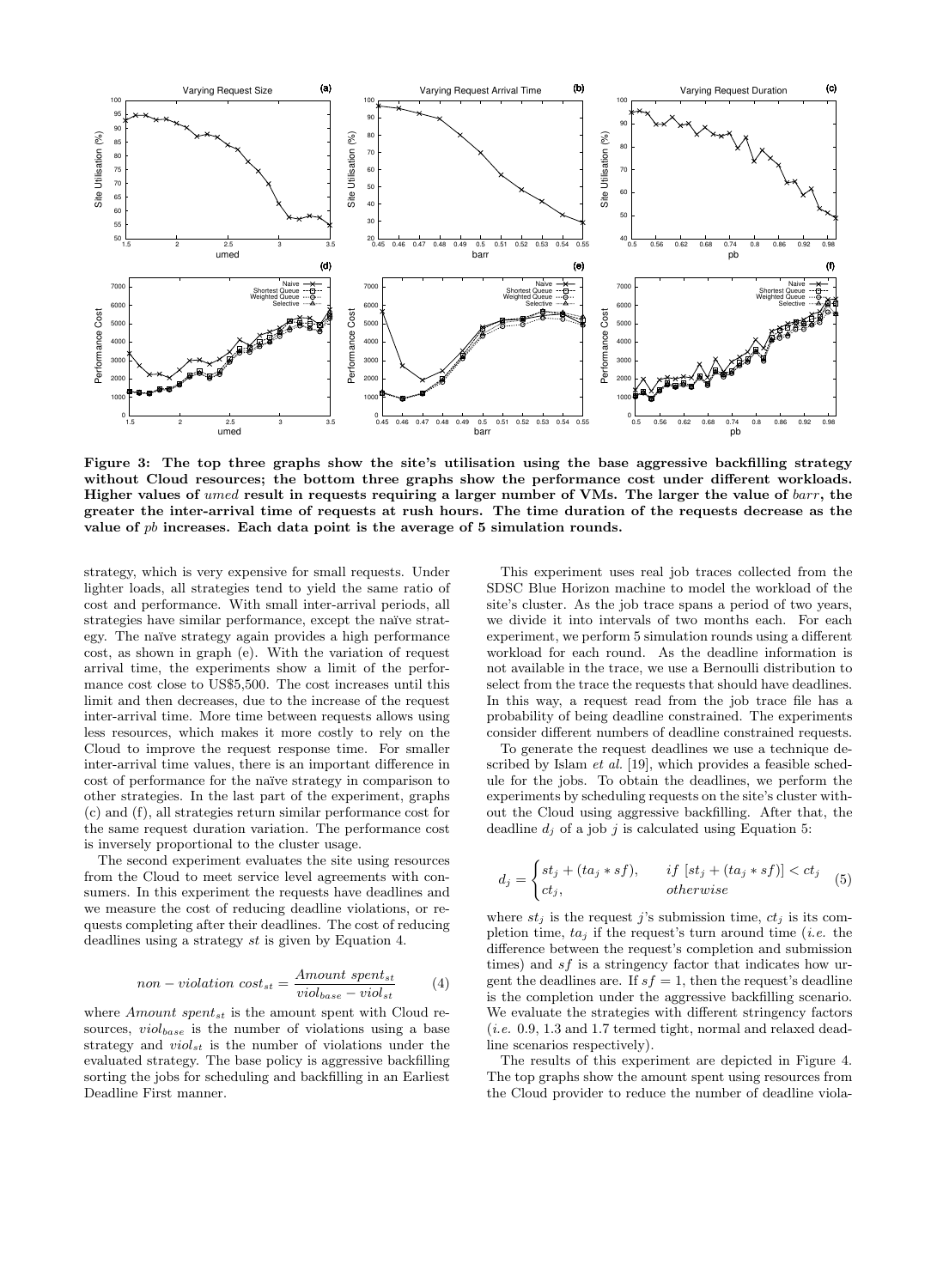

Figure 3: The top three graphs show the site's utilisation using the base aggressive backfilling strategy without Cloud resources; the bottom three graphs show the performance cost under different workloads. Higher values of umed result in requests requiring a larger number of VMs. The larger the value of  $barr$ , the greater the inter-arrival time of requests at rush hours. The time duration of the requests decrease as the value of  $pb$  increases. Each data point is the average of 5 simulation rounds.

strategy, which is very expensive for small requests. Under lighter loads, all strategies tend to yield the same ratio of cost and performance. With small inter-arrival periods, all strategies have similar performance, except the naïve strategy. The naïve strategy again provides a high performance cost, as shown in graph (e). With the variation of request arrival time, the experiments show a limit of the performance cost close to US\$5,500. The cost increases until this limit and then decreases, due to the increase of the request inter-arrival time. More time between requests allows using less resources, which makes it more costly to rely on the Cloud to improve the request response time. For smaller inter-arrival time values, there is an important difference in cost of performance for the naïve strategy in comparison to other strategies. In the last part of the experiment, graphs (c) and (f), all strategies return similar performance cost for the same request duration variation. The performance cost is inversely proportional to the cluster usage.

The second experiment evaluates the site using resources from the Cloud to meet service level agreements with consumers. In this experiment the requests have deadlines and we measure the cost of reducing deadline violations, or requests completing after their deadlines. The cost of reducing deadlines using a strategy st is given by Equation 4.

$$
non-violation cost_{st} = \frac{Amount\ spent_{st}}{viol_{base} - viol_{st}} \tag{4}
$$

where Amount spent<sub>st</sub> is the amount spent with Cloud resources,  $viol_{base}$  is the number of violations using a base strategy and  $viol_{st}$  is the number of violations under the evaluated strategy. The base policy is aggressive backfilling sorting the jobs for scheduling and backfilling in an Earliest Deadline First manner.

This experiment uses real job traces collected from the SDSC Blue Horizon machine to model the workload of the site's cluster. As the job trace spans a period of two years, we divide it into intervals of two months each. For each experiment, we perform 5 simulation rounds using a different workload for each round. As the deadline information is not available in the trace, we use a Bernoulli distribution to select from the trace the requests that should have deadlines. In this way, a request read from the job trace file has a probability of being deadline constrained. The experiments consider different numbers of deadline constrained requests.

To generate the request deadlines we use a technique described by Islam *et al.* [19], which provides a feasible schedule for the jobs. To obtain the deadlines, we perform the experiments by scheduling requests on the site's cluster without the Cloud using aggressive backfilling. After that, the deadline  $d_i$  of a job j is calculated using Equation 5:

$$
d_j = \begin{cases} st_j + (ta_j * sf), & \text{if } [st_j + (ta_j * sf)] < ct_j \\ ct_j, & \text{otherwise} \end{cases} \tag{5}
$$

where  $st_j$  is the request j's submission time,  $ct_j$  is its completion time,  $ta_i$  if the request's turn around time (*i.e.* the difference between the request's completion and submission times) and sf is a stringency factor that indicates how urgent the deadlines are. If  $sf = 1$ , then the request's deadline is the completion under the aggressive backfilling scenario. We evaluate the strategies with different stringency factors  $(i.e. 0.9, 1.3, and 1.7 termed tight, normal and relaxed dead$ line scenarios respectively).

The results of this experiment are depicted in Figure 4. The top graphs show the amount spent using resources from the Cloud provider to reduce the number of deadline viola-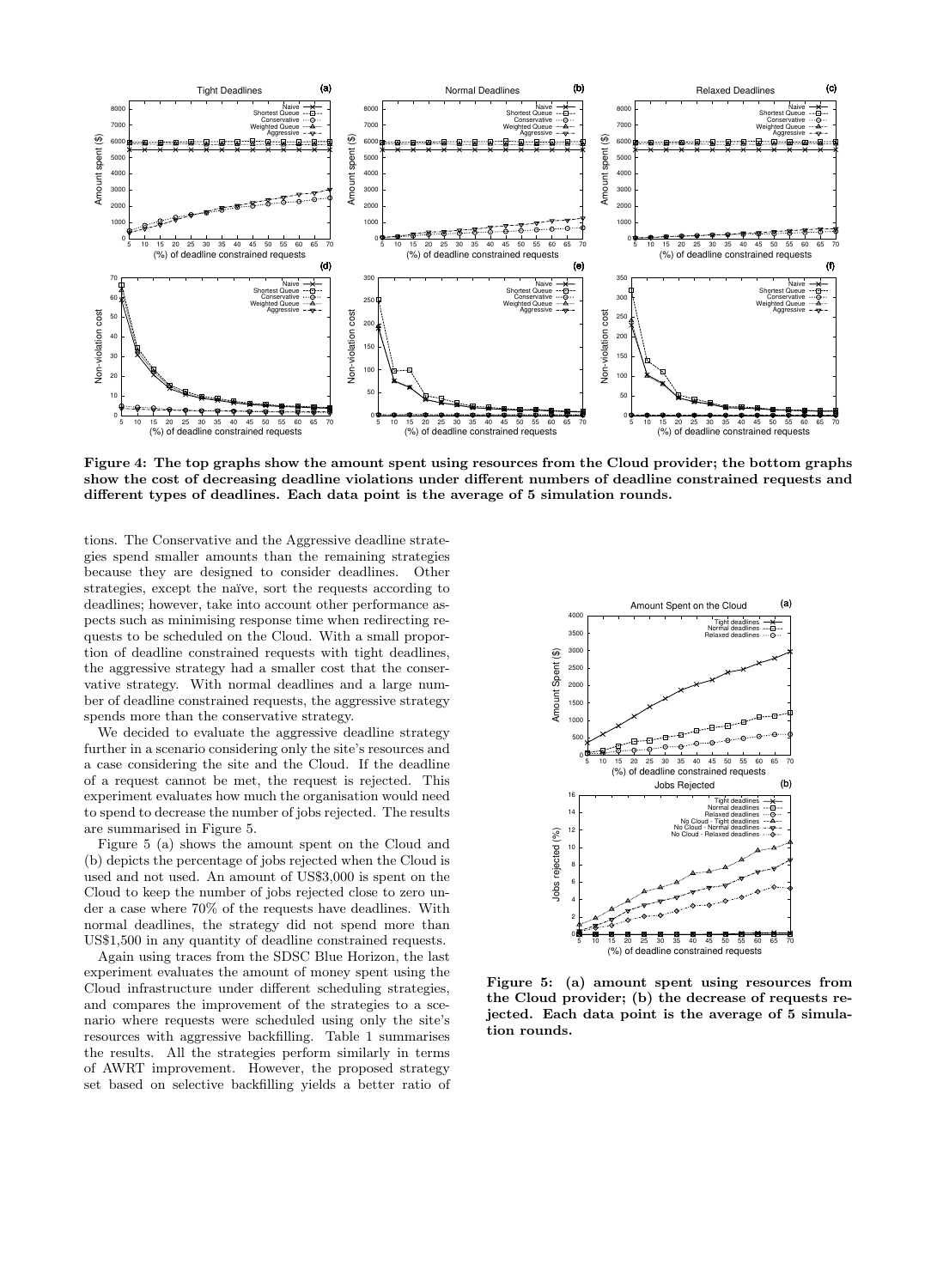

Figure 4: The top graphs show the amount spent using resources from the Cloud provider; the bottom graphs show the cost of decreasing deadline violations under different numbers of deadline constrained requests and different types of deadlines. Each data point is the average of 5 simulation rounds.

tions. The Conservative and the Aggressive deadline strategies spend smaller amounts than the remaining strategies because they are designed to consider deadlines. Other strategies, except the naïve, sort the requests according to deadlines; however, take into account other performance aspects such as minimising response time when redirecting requests to be scheduled on the Cloud. With a small proportion of deadline constrained requests with tight deadlines, the aggressive strategy had a smaller cost that the conservative strategy. With normal deadlines and a large number of deadline constrained requests, the aggressive strategy spends more than the conservative strategy.

We decided to evaluate the aggressive deadline strategy further in a scenario considering only the site's resources and a case considering the site and the Cloud. If the deadline of a request cannot be met, the request is rejected. This experiment evaluates how much the organisation would need to spend to decrease the number of jobs rejected. The results are summarised in Figure 5.

Figure 5 (a) shows the amount spent on the Cloud and (b) depicts the percentage of jobs rejected when the Cloud is used and not used. An amount of US\$3,000 is spent on the Cloud to keep the number of jobs rejected close to zero under a case where 70% of the requests have deadlines. With normal deadlines, the strategy did not spend more than US\$1,500 in any quantity of deadline constrained requests.

Again using traces from the SDSC Blue Horizon, the last experiment evaluates the amount of money spent using the Cloud infrastructure under different scheduling strategies, and compares the improvement of the strategies to a scenario where requests were scheduled using only the site's resources with aggressive backfilling. Table 1 summarises the results. All the strategies perform similarly in terms of AWRT improvement. However, the proposed strategy set based on selective backfilling yields a better ratio of



Figure 5: (a) amount spent using resources from the Cloud provider; (b) the decrease of requests rejected. Each data point is the average of 5 simulation rounds.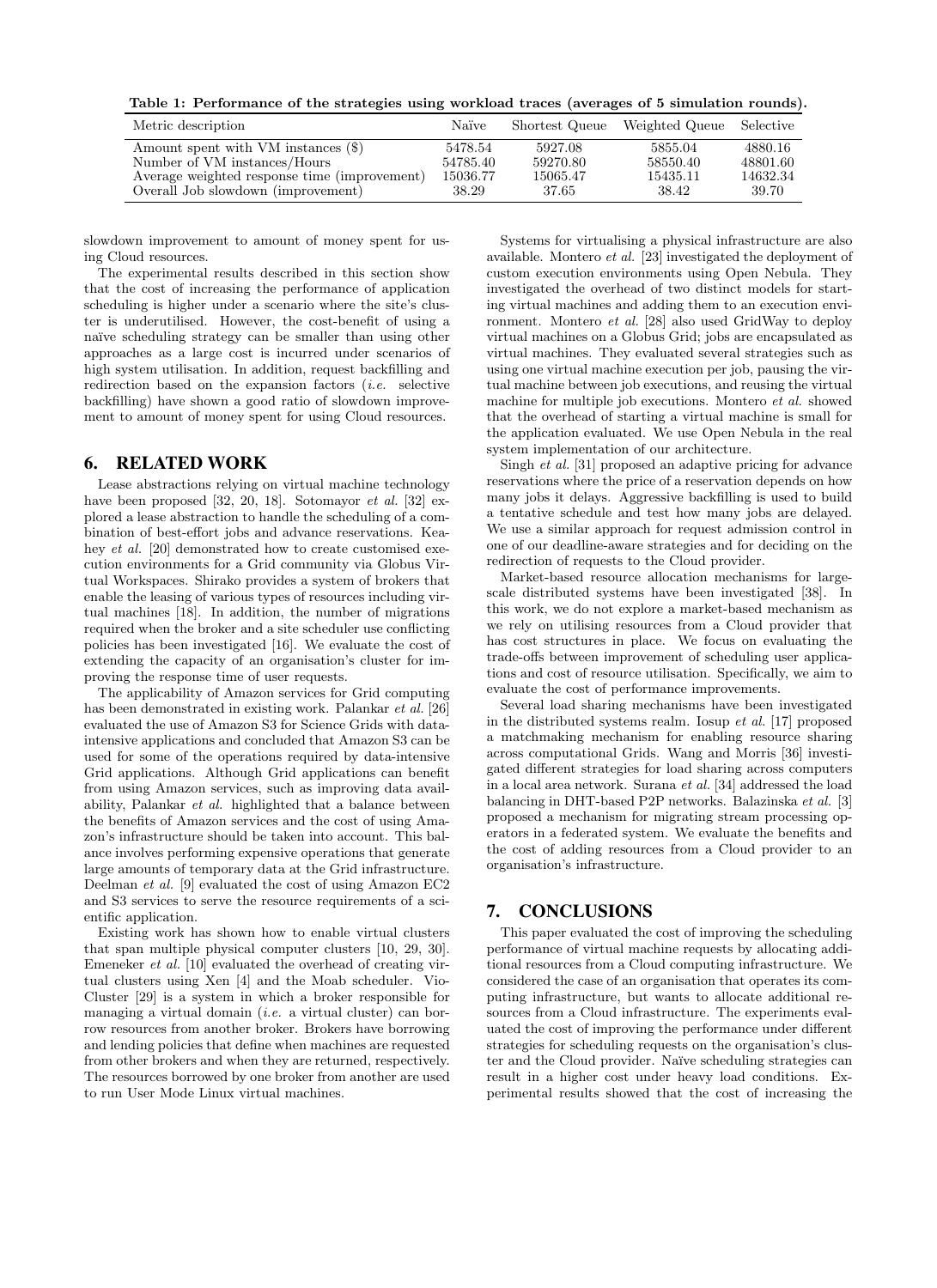Table 1: Performance of the strategies using workload traces (averages of 5 simulation rounds).

| Metric description                                                  | Naïve               | Shortest Queue      | Weighted Queue Selective |                     |
|---------------------------------------------------------------------|---------------------|---------------------|--------------------------|---------------------|
| Amount spent with VM instances (\$)<br>Number of VM instances/Hours | 5478.54<br>54785.40 | 5927.08<br>59270.80 | 5855.04<br>58550.40      | 4880.16<br>48801.60 |
| Average weighted response time (improvement)                        | 15036.77            | 15065.47            | 15435.11                 | 14632.34            |
| Overall Job slowdown (improvement)                                  | 38.29               | 37.65               | 38.42                    | -39.70              |

slowdown improvement to amount of money spent for using Cloud resources.

The experimental results described in this section show that the cost of increasing the performance of application scheduling is higher under a scenario where the site's cluster is underutilised. However, the cost-benefit of using a naïve scheduling strategy can be smaller than using other approaches as a large cost is incurred under scenarios of high system utilisation. In addition, request backfilling and redirection based on the expansion factors  $(i.e.$  selective backfilling) have shown a good ratio of slowdown improvement to amount of money spent for using Cloud resources.

## 6. RELATED WORK

Lease abstractions relying on virtual machine technology have been proposed [32, 20, 18]. Sotomayor et al. [32] explored a lease abstraction to handle the scheduling of a combination of best-effort jobs and advance reservations. Keahey *et al.* [20] demonstrated how to create customised execution environments for a Grid community via Globus Virtual Workspaces. Shirako provides a system of brokers that enable the leasing of various types of resources including virtual machines [18]. In addition, the number of migrations required when the broker and a site scheduler use conflicting policies has been investigated [16]. We evaluate the cost of extending the capacity of an organisation's cluster for improving the response time of user requests.

The applicability of Amazon services for Grid computing has been demonstrated in existing work. Palankar *et al.* [26] evaluated the use of Amazon S3 for Science Grids with dataintensive applications and concluded that Amazon S3 can be used for some of the operations required by data-intensive Grid applications. Although Grid applications can benefit from using Amazon services, such as improving data availability, Palankar et al. highlighted that a balance between the benefits of Amazon services and the cost of using Amazon's infrastructure should be taken into account. This balance involves performing expensive operations that generate large amounts of temporary data at the Grid infrastructure. Deelman et al. [9] evaluated the cost of using Amazon EC2 and S3 services to serve the resource requirements of a scientific application.

Existing work has shown how to enable virtual clusters that span multiple physical computer clusters [10, 29, 30]. Emeneker et al. [10] evaluated the overhead of creating virtual clusters using Xen [4] and the Moab scheduler. Vio-Cluster [29] is a system in which a broker responsible for managing a virtual domain (*i.e.* a virtual cluster) can borrow resources from another broker. Brokers have borrowing and lending policies that define when machines are requested from other brokers and when they are returned, respectively. The resources borrowed by one broker from another are used to run User Mode Linux virtual machines.

Systems for virtualising a physical infrastructure are also available. Montero et al. [23] investigated the deployment of custom execution environments using Open Nebula. They investigated the overhead of two distinct models for starting virtual machines and adding them to an execution environment. Montero et al. [28] also used GridWay to deploy virtual machines on a Globus Grid; jobs are encapsulated as virtual machines. They evaluated several strategies such as using one virtual machine execution per job, pausing the virtual machine between job executions, and reusing the virtual machine for multiple job executions. Montero et al. showed that the overhead of starting a virtual machine is small for the application evaluated. We use Open Nebula in the real system implementation of our architecture.

Singh et al. [31] proposed an adaptive pricing for advance reservations where the price of a reservation depends on how many jobs it delays. Aggressive backfilling is used to build a tentative schedule and test how many jobs are delayed. We use a similar approach for request admission control in one of our deadline-aware strategies and for deciding on the redirection of requests to the Cloud provider.

Market-based resource allocation mechanisms for largescale distributed systems have been investigated [38]. In this work, we do not explore a market-based mechanism as we rely on utilising resources from a Cloud provider that has cost structures in place. We focus on evaluating the trade-offs between improvement of scheduling user applications and cost of resource utilisation. Specifically, we aim to evaluate the cost of performance improvements.

Several load sharing mechanisms have been investigated in the distributed systems realm. Iosup et al. [17] proposed a matchmaking mechanism for enabling resource sharing across computational Grids. Wang and Morris [36] investigated different strategies for load sharing across computers in a local area network. Surana et al. [34] addressed the load balancing in DHT-based P2P networks. Balazinska et al. [3] proposed a mechanism for migrating stream processing operators in a federated system. We evaluate the benefits and the cost of adding resources from a Cloud provider to an organisation's infrastructure.

# 7. CONCLUSIONS

This paper evaluated the cost of improving the scheduling performance of virtual machine requests by allocating additional resources from a Cloud computing infrastructure. We considered the case of an organisation that operates its computing infrastructure, but wants to allocate additional resources from a Cloud infrastructure. The experiments evaluated the cost of improving the performance under different strategies for scheduling requests on the organisation's cluster and the Cloud provider. Naïve scheduling strategies can result in a higher cost under heavy load conditions. Experimental results showed that the cost of increasing the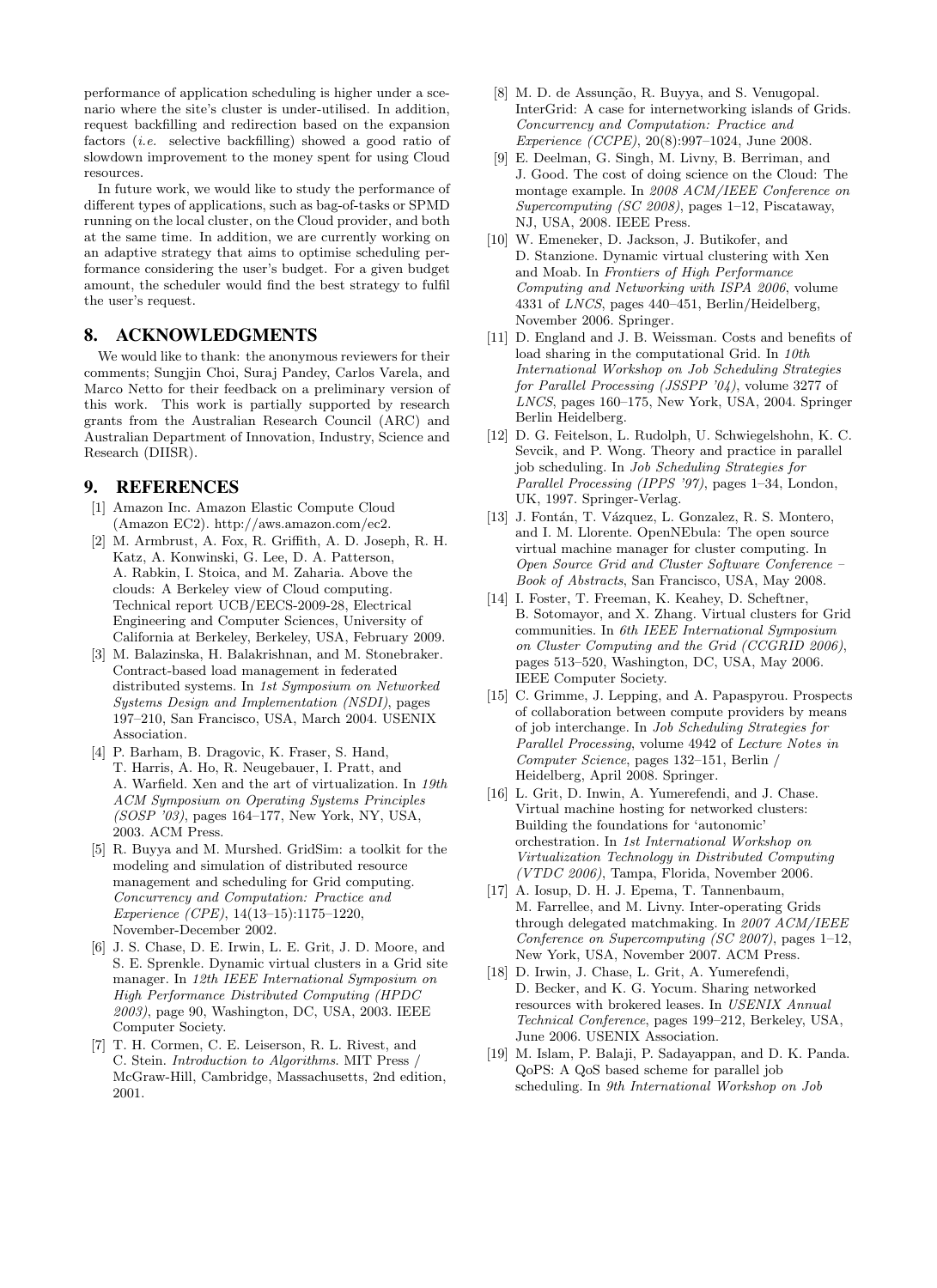performance of application scheduling is higher under a scenario where the site's cluster is under-utilised. In addition, request backfilling and redirection based on the expansion factors (i.e. selective backfilling) showed a good ratio of slowdown improvement to the money spent for using Cloud resources.

In future work, we would like to study the performance of different types of applications, such as bag-of-tasks or SPMD running on the local cluster, on the Cloud provider, and both at the same time. In addition, we are currently working on an adaptive strategy that aims to optimise scheduling performance considering the user's budget. For a given budget amount, the scheduler would find the best strategy to fulfil the user's request.

## 8. ACKNOWLEDGMENTS

We would like to thank: the anonymous reviewers for their comments; Sungjin Choi, Suraj Pandey, Carlos Varela, and Marco Netto for their feedback on a preliminary version of this work. This work is partially supported by research grants from the Australian Research Council (ARC) and Australian Department of Innovation, Industry, Science and Research (DIISR).

## 9. REFERENCES

- [1] Amazon Inc. Amazon Elastic Compute Cloud (Amazon EC2). http://aws.amazon.com/ec2.
- [2] M. Armbrust, A. Fox, R. Griffith, A. D. Joseph, R. H. Katz, A. Konwinski, G. Lee, D. A. Patterson, A. Rabkin, I. Stoica, and M. Zaharia. Above the clouds: A Berkeley view of Cloud computing. Technical report UCB/EECS-2009-28, Electrical Engineering and Computer Sciences, University of California at Berkeley, Berkeley, USA, February 2009.
- [3] M. Balazinska, H. Balakrishnan, and M. Stonebraker. Contract-based load management in federated distributed systems. In 1st Symposium on Networked Systems Design and Implementation (NSDI), pages 197–210, San Francisco, USA, March 2004. USENIX Association.
- [4] P. Barham, B. Dragovic, K. Fraser, S. Hand, T. Harris, A. Ho, R. Neugebauer, I. Pratt, and A. Warfield. Xen and the art of virtualization. In 19th ACM Symposium on Operating Systems Principles (SOSP '03), pages 164–177, New York, NY, USA, 2003. ACM Press.
- [5] R. Buyya and M. Murshed. GridSim: a toolkit for the modeling and simulation of distributed resource management and scheduling for Grid computing. Concurrency and Computation: Practice and Experience (CPE), 14(13–15):1175–1220, November-December 2002.
- [6] J. S. Chase, D. E. Irwin, L. E. Grit, J. D. Moore, and S. E. Sprenkle. Dynamic virtual clusters in a Grid site manager. In 12th IEEE International Symposium on High Performance Distributed Computing (HPDC 2003), page 90, Washington, DC, USA, 2003. IEEE Computer Society.
- [7] T. H. Cormen, C. E. Leiserson, R. L. Rivest, and C. Stein. Introduction to Algorithms. MIT Press / McGraw-Hill, Cambridge, Massachusetts, 2nd edition, 2001.
- [8] M. D. de Assunção, R. Buyya, and S. Venugopal. InterGrid: A case for internetworking islands of Grids. Concurrency and Computation: Practice and Experience (CCPE), 20(8):997–1024, June 2008.
- [9] E. Deelman, G. Singh, M. Livny, B. Berriman, and J. Good. The cost of doing science on the Cloud: The montage example. In 2008 ACM/IEEE Conference on Supercomputing (SC 2008), pages 1–12, Piscataway, NJ, USA, 2008. IEEE Press.
- [10] W. Emeneker, D. Jackson, J. Butikofer, and D. Stanzione. Dynamic virtual clustering with Xen and Moab. In Frontiers of High Performance Computing and Networking with ISPA 2006, volume 4331 of LNCS, pages 440–451, Berlin/Heidelberg, November 2006. Springer.
- [11] D. England and J. B. Weissman. Costs and benefits of load sharing in the computational Grid. In 10th International Workshop on Job Scheduling Strategies for Parallel Processing (JSSPP '04), volume 3277 of LNCS, pages 160–175, New York, USA, 2004. Springer Berlin Heidelberg.
- [12] D. G. Feitelson, L. Rudolph, U. Schwiegelshohn, K. C. Sevcik, and P. Wong. Theory and practice in parallel job scheduling. In Job Scheduling Strategies for Parallel Processing (IPPS '97), pages 1–34, London, UK, 1997. Springer-Verlag.
- [13] J. Fontán, T. Vázquez, L. Gonzalez, R. S. Montero, and I. M. Llorente. OpenNEbula: The open source virtual machine manager for cluster computing. In Open Source Grid and Cluster Software Conference – Book of Abstracts, San Francisco, USA, May 2008.
- [14] I. Foster, T. Freeman, K. Keahey, D. Scheftner, B. Sotomayor, and X. Zhang. Virtual clusters for Grid communities. In 6th IEEE International Symposium on Cluster Computing and the Grid (CCGRID 2006), pages 513–520, Washington, DC, USA, May 2006. IEEE Computer Society.
- [15] C. Grimme, J. Lepping, and A. Papaspyrou. Prospects of collaboration between compute providers by means of job interchange. In Job Scheduling Strategies for Parallel Processing, volume 4942 of Lecture Notes in Computer Science, pages 132–151, Berlin / Heidelberg, April 2008. Springer.
- [16] L. Grit, D. Inwin, A. Yumerefendi, and J. Chase. Virtual machine hosting for networked clusters: Building the foundations for 'autonomic' orchestration. In 1st International Workshop on Virtualization Technology in Distributed Computing (VTDC 2006), Tampa, Florida, November 2006.
- [17] A. Iosup, D. H. J. Epema, T. Tannenbaum, M. Farrellee, and M. Livny. Inter-operating Grids through delegated matchmaking. In 2007 ACM/IEEE Conference on Supercomputing (SC 2007), pages 1–12, New York, USA, November 2007. ACM Press.
- [18] D. Irwin, J. Chase, L. Grit, A. Yumerefendi, D. Becker, and K. G. Yocum. Sharing networked resources with brokered leases. In USENIX Annual Technical Conference, pages 199–212, Berkeley, USA, June 2006. USENIX Association.
- [19] M. Islam, P. Balaji, P. Sadayappan, and D. K. Panda. QoPS: A QoS based scheme for parallel job scheduling. In 9th International Workshop on Job